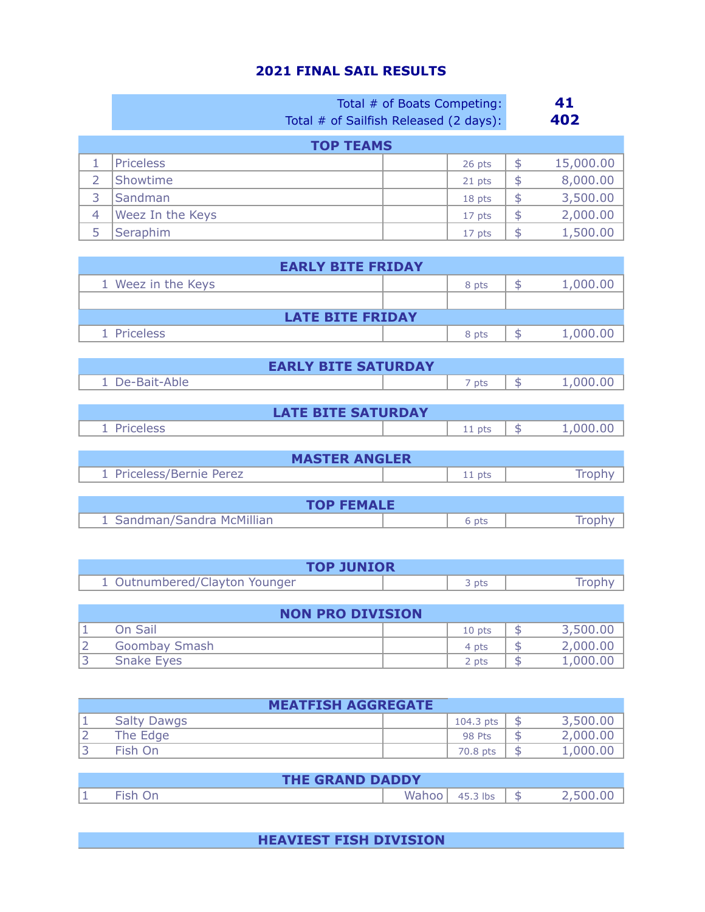## **2021 FINAL SAIL RESULTS**

|   | Total # of Boats Competing:<br>Total # of Sailfish Released (2 days): |        |    | 41<br>402 |
|---|-----------------------------------------------------------------------|--------|----|-----------|
|   | <b>TOP TEAMS</b>                                                      |        |    |           |
|   | <b>Priceless</b>                                                      | 26 pts | \$ | 15,000.00 |
| 2 | Showtime                                                              | 21 pts | \$ | 8,000.00  |
| 3 | Sandman                                                               | 18 pts | \$ | 3,500.00  |
| 4 | Weez In the Keys                                                      | 17 pts | \$ | 2,000.00  |
| 5 | Seraphim                                                              | 17 pts | \$ | 1,500.00  |

| <b>EARLY BITE FRIDAY</b> |  |       |  |          |  |
|--------------------------|--|-------|--|----------|--|
| 1 Weez in the Keys       |  | 8 pts |  | 1,000.00 |  |
|                          |  |       |  |          |  |
| <b>LATE BITE FRIDAY</b>  |  |       |  |          |  |
| 1 Priceless              |  | 8 pts |  | 1,000.   |  |

| <b>EARLY BITE SATURDAY</b> |          |                |  |  |  |
|----------------------------|----------|----------------|--|--|--|
| 1 De-Bait-Able             | 7 pts    | 1,000.00<br>\$ |  |  |  |
|                            |          |                |  |  |  |
| <b>LATE BITE SATURDAY</b>  |          |                |  |  |  |
| 1 Priceless                | $11$ pts | 1,000.00<br>\$ |  |  |  |
|                            |          |                |  |  |  |
| <b>MASTER ANGLER</b>       |          |                |  |  |  |
| 1 Priceless/Bernie Perez   | 11 pts   | <b>Iron</b>    |  |  |  |

| <b>TOP FEMALE</b>          |     |  |  |  |
|----------------------------|-----|--|--|--|
| 1 Sandman/Sandra McMillian | pts |  |  |  |

| <b>TOP JUNIOR</b>             |  |       |        |  |
|-------------------------------|--|-------|--------|--|
| 1 Outnumbered/Clayton Younger |  | २ pts | Trophy |  |

| <b>NON PRO DIVISION</b> |                      |          |  |          |  |
|-------------------------|----------------------|----------|--|----------|--|
|                         | On Sail              | $10$ pts |  | 3,500.00 |  |
|                         | <b>Goombay Smash</b> | 4 pts    |  | 2,000.00 |  |
|                         | <b>Snake Eyes</b>    | 2 pts    |  | 1,000.00 |  |

| <b>MEATFISH AGGREGATE</b> |  |               |  |          |  |
|---------------------------|--|---------------|--|----------|--|
| <b>Salty Dawgs</b>        |  | $104.3$ pts   |  | 3,500.00 |  |
| The Edge                  |  | <b>98 Pts</b> |  | 2,000.00 |  |
| Fish On                   |  | 70.8 pts      |  | 1,000.00 |  |

| <b>THE GRAND DADDY</b> |  |       |          |  |  |
|------------------------|--|-------|----------|--|--|
|                        |  | Wahoo | 45.3 lbs |  |  |

## **HEAVIEST FISH DIVISION**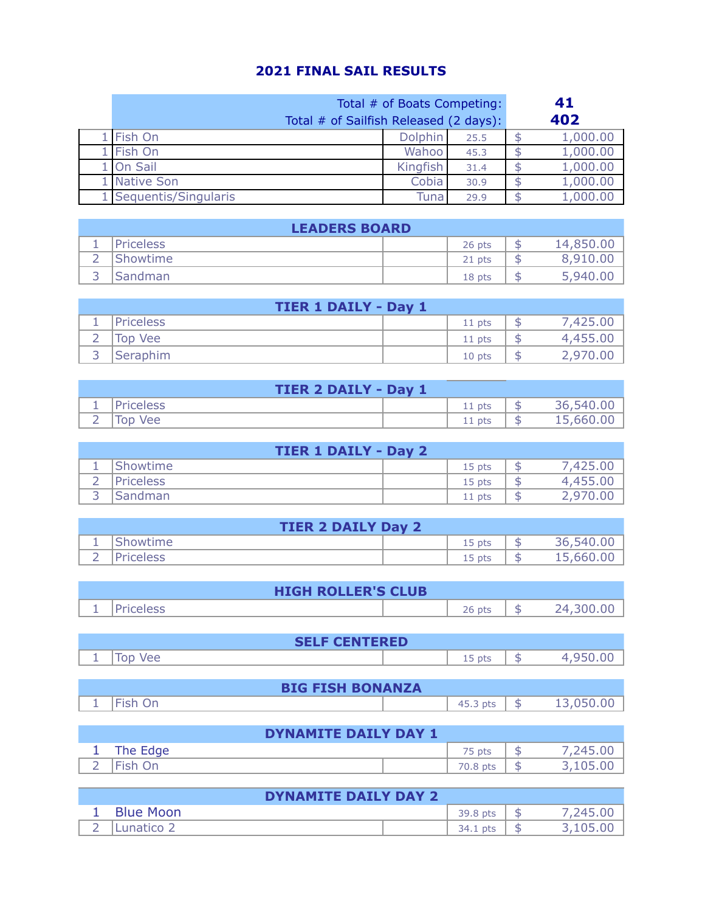## **2021 FINAL SAIL RESULTS**

| Total # of Boats Competing:<br>Total # of Sailfish Released (2 days): |          |      |  | 41<br>402 |
|-----------------------------------------------------------------------|----------|------|--|-----------|
| L Fish On                                                             | Dolphin  | 25.5 |  | 1,000.00  |
| Fish On                                                               | Wahoo    | 45.3 |  | 1,000.00  |
| On Sail                                                               | Kingfish | 31.4 |  | 1,000.00  |
| Native Son                                                            | Cobia    | 30.9 |  | 1,000.00  |
| Sequentis/Singularis                                                  | Tuna     | 29.9 |  | 1,000.00  |

| <b>LEADERS BOARD</b> |                  |        |   |           |  |
|----------------------|------------------|--------|---|-----------|--|
| ᅩ                    | <b>Priceless</b> | 26 pts | ъ | 14,850.00 |  |
|                      | Showtime         | 21 pts |   | 8,910.00  |  |
|                      | Sandman          | 18 pts |   | 5,940.00  |  |

| <b>TIER 1 DAILY - Day 1</b> |                  |  |          |  |          |
|-----------------------------|------------------|--|----------|--|----------|
|                             | <b>Priceless</b> |  | $11$ pts |  | 7.425.0c |
|                             | Top Vee          |  | $11$ pts |  | 4,455.00 |
|                             | <b>Seraphim</b>  |  | 10 pts   |  | 2,970.L  |

|   | <b>TIER 2 DAILY - Day 1</b>    |     |           |
|---|--------------------------------|-----|-----------|
|   | <i><u><b>Priceless</b></u></i> | pts | 36,540.00 |
| - | , fop '<br><b>Vee</b>          | pts | 15,660.00 |

|          | <b>TIER 1 DAILY - Day 2</b> |        |   |          |  |  |
|----------|-----------------------------|--------|---|----------|--|--|
| ᅩ        | Showtime                    | 15 pts |   | 7,425.00 |  |  |
| <u>_</u> | <b>Priceless</b>            | 15 pts |   | 4,455.00 |  |  |
| ∽        | Sandman                     | 11 pts | ⊃ | 2,970.00 |  |  |

|        | <b>TIER 2 DAILY Day 2</b> |        |    |           |
|--------|---------------------------|--------|----|-----------|
| -      | Showtime                  | .5 pts | ⊐  | 36,540.00 |
| -<br>- | <b>Priceless</b>          | pts    | D. | 15,660.00 |

|   | <b>HIGH ROLLER'S CLUB</b> |        |           |
|---|---------------------------|--------|-----------|
| - | <b>Priceless</b>          | 26 pts | 24 300 OI |

| <b>CENTERED</b><br>LL D<br>-- |                                                    |   |  |
|-------------------------------|----------------------------------------------------|---|--|
| oc                            | $\overline{\phantom{a}}$<br>$n+$<br>pis<br>ᅩ<br>-- | ℶ |  |

|   | <b>BIG FISH BONANZA</b> |             |  |
|---|-------------------------|-------------|--|
| - |                         | د.45<br>pts |  |

|        | DYNAMITE DAILY DAY 1 |          |  |          |  |  |
|--------|----------------------|----------|--|----------|--|--|
|        | The Edge             | pts      |  | 7,245.00 |  |  |
| -<br>- | Fish On              | 70.8 pts |  | 3,105.00 |  |  |

|        | <b>DYNAMITE DAILY DAY 2</b> |             |               |
|--------|-----------------------------|-------------|---------------|
|        | <b>Blue Moon</b>            | 39.8 pts    | 245.00,       |
| -<br>- | unatico 2                   | 34.1<br>pts | .00<br>_105.u |